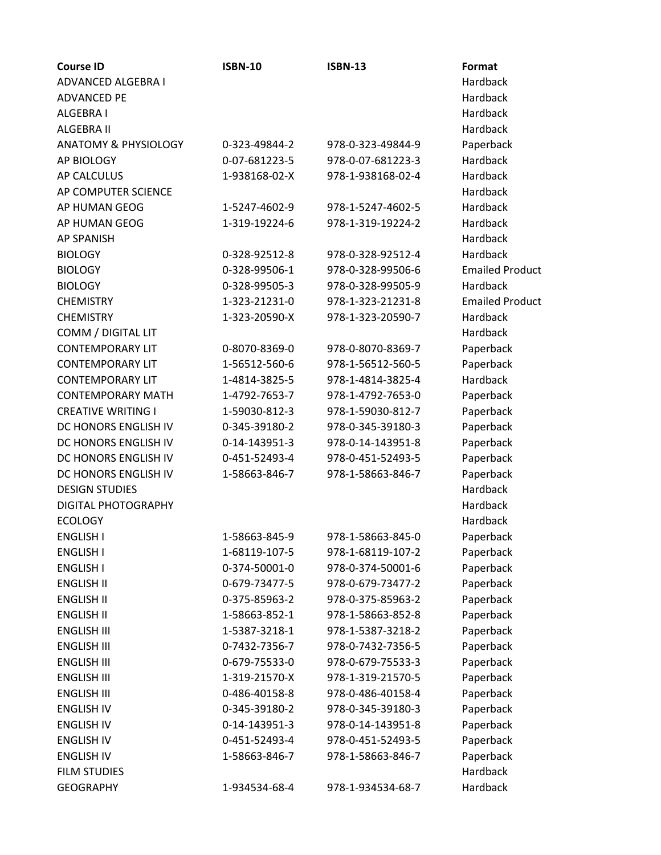| <b>Course ID</b>                | <b>ISBN-10</b> | <b>ISBN-13</b>    | Format                 |
|---------------------------------|----------------|-------------------|------------------------|
| ADVANCED ALGEBRA I              |                |                   | Hardback               |
| <b>ADVANCED PE</b>              |                |                   | Hardback               |
| <b>ALGEBRA I</b>                |                |                   | Hardback               |
| ALGEBRA II                      |                |                   | Hardback               |
| <b>ANATOMY &amp; PHYSIOLOGY</b> | 0-323-49844-2  | 978-0-323-49844-9 | Paperback              |
| AP BIOLOGY                      | 0-07-681223-5  | 978-0-07-681223-3 | Hardback               |
| <b>AP CALCULUS</b>              | 1-938168-02-X  | 978-1-938168-02-4 | Hardback               |
| AP COMPUTER SCIENCE             |                |                   | Hardback               |
| AP HUMAN GEOG                   | 1-5247-4602-9  | 978-1-5247-4602-5 | Hardback               |
| AP HUMAN GEOG                   | 1-319-19224-6  | 978-1-319-19224-2 | Hardback               |
| <b>AP SPANISH</b>               |                |                   | Hardback               |
| <b>BIOLOGY</b>                  | 0-328-92512-8  | 978-0-328-92512-4 | Hardback               |
| <b>BIOLOGY</b>                  | 0-328-99506-1  | 978-0-328-99506-6 | <b>Emailed Product</b> |
| <b>BIOLOGY</b>                  | 0-328-99505-3  | 978-0-328-99505-9 | Hardback               |
| <b>CHEMISTRY</b>                | 1-323-21231-0  | 978-1-323-21231-8 | <b>Emailed Product</b> |
| <b>CHEMISTRY</b>                | 1-323-20590-X  | 978-1-323-20590-7 | Hardback               |
| COMM / DIGITAL LIT              |                |                   | Hardback               |
| <b>CONTEMPORARY LIT</b>         | 0-8070-8369-0  | 978-0-8070-8369-7 | Paperback              |
| <b>CONTEMPORARY LIT</b>         | 1-56512-560-6  | 978-1-56512-560-5 | Paperback              |
| <b>CONTEMPORARY LIT</b>         | 1-4814-3825-5  | 978-1-4814-3825-4 | Hardback               |
| <b>CONTEMPORARY MATH</b>        | 1-4792-7653-7  | 978-1-4792-7653-0 | Paperback              |
| <b>CREATIVE WRITING I</b>       | 1-59030-812-3  | 978-1-59030-812-7 | Paperback              |
| DC HONORS ENGLISH IV            | 0-345-39180-2  | 978-0-345-39180-3 | Paperback              |
| DC HONORS ENGLISH IV            | 0-14-143951-3  | 978-0-14-143951-8 | Paperback              |
| DC HONORS ENGLISH IV            | 0-451-52493-4  | 978-0-451-52493-5 | Paperback              |
| DC HONORS ENGLISH IV            | 1-58663-846-7  | 978-1-58663-846-7 | Paperback              |
| <b>DESIGN STUDIES</b>           |                |                   | <b>Hardback</b>        |
| DIGITAL PHOTOGRAPHY             |                |                   | Hardback               |
| <b>ECOLOGY</b>                  |                |                   | Hardback               |
| <b>ENGLISH I</b>                | 1-58663-845-9  | 978-1-58663-845-0 | Paperback              |
| <b>ENGLISH I</b>                | 1-68119-107-5  | 978-1-68119-107-2 | Paperback              |
| <b>ENGLISH I</b>                | 0-374-50001-0  | 978-0-374-50001-6 | Paperback              |
| <b>ENGLISH II</b>               | 0-679-73477-5  | 978-0-679-73477-2 | Paperback              |
| <b>ENGLISH II</b>               | 0-375-85963-2  | 978-0-375-85963-2 | Paperback              |
| <b>ENGLISH II</b>               | 1-58663-852-1  | 978-1-58663-852-8 | Paperback              |
| <b>ENGLISH III</b>              | 1-5387-3218-1  | 978-1-5387-3218-2 | Paperback              |
| <b>ENGLISH III</b>              | 0-7432-7356-7  | 978-0-7432-7356-5 | Paperback              |
| <b>ENGLISH III</b>              | 0-679-75533-0  | 978-0-679-75533-3 | Paperback              |
| <b>ENGLISH III</b>              | 1-319-21570-X  | 978-1-319-21570-5 | Paperback              |
| <b>ENGLISH III</b>              | 0-486-40158-8  | 978-0-486-40158-4 | Paperback              |
| <b>ENGLISH IV</b>               | 0-345-39180-2  | 978-0-345-39180-3 | Paperback              |
| <b>ENGLISH IV</b>               | 0-14-143951-3  | 978-0-14-143951-8 | Paperback              |
| <b>ENGLISH IV</b>               | 0-451-52493-4  | 978-0-451-52493-5 | Paperback              |
| <b>ENGLISH IV</b>               | 1-58663-846-7  | 978-1-58663-846-7 | Paperback              |
| <b>FILM STUDIES</b>             |                |                   | Hardback               |
| <b>GEOGRAPHY</b>                | 1-934534-68-4  | 978-1-934534-68-7 | Hardback               |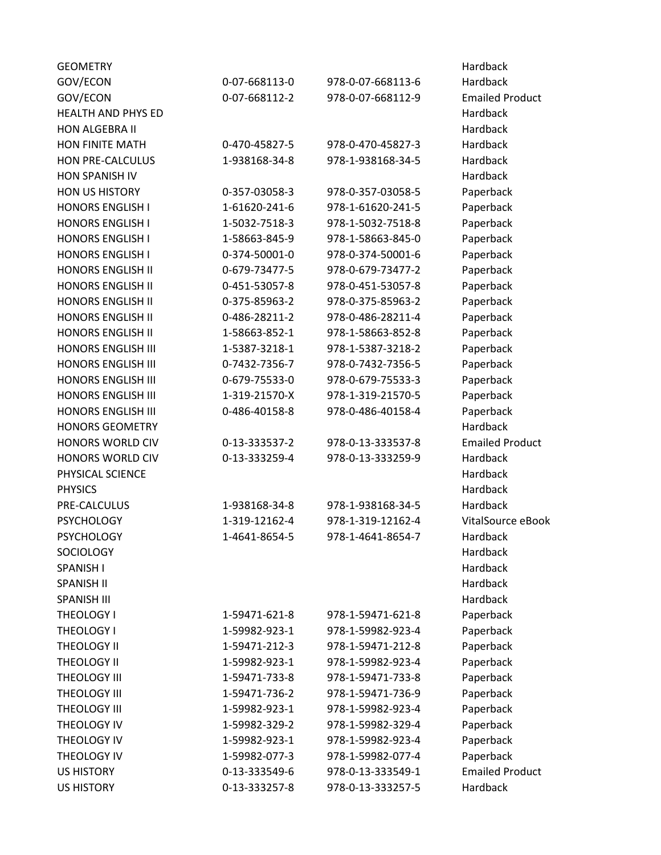| <b>GEOMETRY</b>           |               |                   | Hardback               |
|---------------------------|---------------|-------------------|------------------------|
| GOV/ECON                  | 0-07-668113-0 | 978-0-07-668113-6 | Hardback               |
| GOV/ECON                  | 0-07-668112-2 | 978-0-07-668112-9 | <b>Emailed Product</b> |
| <b>HEALTH AND PHYS ED</b> |               |                   | Hardback               |
| <b>HON ALGEBRA II</b>     |               |                   | Hardback               |
| <b>HON FINITE MATH</b>    | 0-470-45827-5 | 978-0-470-45827-3 | Hardback               |
| <b>HON PRE-CALCULUS</b>   | 1-938168-34-8 | 978-1-938168-34-5 | Hardback               |
| HON SPANISH IV            |               |                   | Hardback               |
| <b>HON US HISTORY</b>     | 0-357-03058-3 | 978-0-357-03058-5 | Paperback              |
| <b>HONORS ENGLISH I</b>   | 1-61620-241-6 | 978-1-61620-241-5 | Paperback              |
| <b>HONORS ENGLISH I</b>   | 1-5032-7518-3 | 978-1-5032-7518-8 | Paperback              |
| <b>HONORS ENGLISH I</b>   | 1-58663-845-9 | 978-1-58663-845-0 | Paperback              |
| <b>HONORS ENGLISH I</b>   | 0-374-50001-0 | 978-0-374-50001-6 | Paperback              |
| <b>HONORS ENGLISH II</b>  | 0-679-73477-5 | 978-0-679-73477-2 | Paperback              |
| <b>HONORS ENGLISH II</b>  | 0-451-53057-8 | 978-0-451-53057-8 | Paperback              |
| <b>HONORS ENGLISH II</b>  | 0-375-85963-2 | 978-0-375-85963-2 | Paperback              |
| <b>HONORS ENGLISH II</b>  | 0-486-28211-2 | 978-0-486-28211-4 | Paperback              |
| <b>HONORS ENGLISH II</b>  | 1-58663-852-1 | 978-1-58663-852-8 | Paperback              |
| <b>HONORS ENGLISH III</b> | 1-5387-3218-1 | 978-1-5387-3218-2 | Paperback              |
| <b>HONORS ENGLISH III</b> | 0-7432-7356-7 | 978-0-7432-7356-5 | Paperback              |
| <b>HONORS ENGLISH III</b> | 0-679-75533-0 | 978-0-679-75533-3 | Paperback              |
| <b>HONORS ENGLISH III</b> | 1-319-21570-X | 978-1-319-21570-5 | Paperback              |
| <b>HONORS ENGLISH III</b> | 0-486-40158-8 | 978-0-486-40158-4 | Paperback              |
| <b>HONORS GEOMETRY</b>    |               |                   | Hardback               |
| <b>HONORS WORLD CIV</b>   | 0-13-333537-2 | 978-0-13-333537-8 | <b>Emailed Product</b> |
| HONORS WORLD CIV          | 0-13-333259-4 | 978-0-13-333259-9 | Hardback               |
| PHYSICAL SCIENCE          |               |                   | Hardback               |
| <b>PHYSICS</b>            |               |                   | Hardback               |
| PRE-CALCULUS              | 1-938168-34-8 | 978-1-938168-34-5 | Hardback               |
| <b>PSYCHOLOGY</b>         | 1-319-12162-4 | 978-1-319-12162-4 | VitalSource eBook      |
| <b>PSYCHOLOGY</b>         | 1-4641-8654-5 | 978-1-4641-8654-7 | Hardback               |
| <b>SOCIOLOGY</b>          |               |                   | Hardback               |
| SPANISH I                 |               |                   | Hardback               |
| <b>SPANISH II</b>         |               |                   | Hardback               |
| <b>SPANISH III</b>        |               |                   | Hardback               |
| THEOLOGY I                | 1-59471-621-8 | 978-1-59471-621-8 | Paperback              |
| THEOLOGY I                | 1-59982-923-1 | 978-1-59982-923-4 | Paperback              |
| THEOLOGY II               | 1-59471-212-3 | 978-1-59471-212-8 | Paperback              |
| THEOLOGY II               | 1-59982-923-1 | 978-1-59982-923-4 | Paperback              |
| THEOLOGY III              | 1-59471-733-8 | 978-1-59471-733-8 | Paperback              |
| THEOLOGY III              | 1-59471-736-2 | 978-1-59471-736-9 | Paperback              |
| THEOLOGY III              | 1-59982-923-1 | 978-1-59982-923-4 | Paperback              |
| THEOLOGY IV               | 1-59982-329-2 | 978-1-59982-329-4 | Paperback              |
| THEOLOGY IV               | 1-59982-923-1 | 978-1-59982-923-4 | Paperback              |
| THEOLOGY IV               | 1-59982-077-3 | 978-1-59982-077-4 | Paperback              |
| <b>US HISTORY</b>         | 0-13-333549-6 | 978-0-13-333549-1 | <b>Emailed Product</b> |
| <b>US HISTORY</b>         | 0-13-333257-8 | 978-0-13-333257-5 | Hardback               |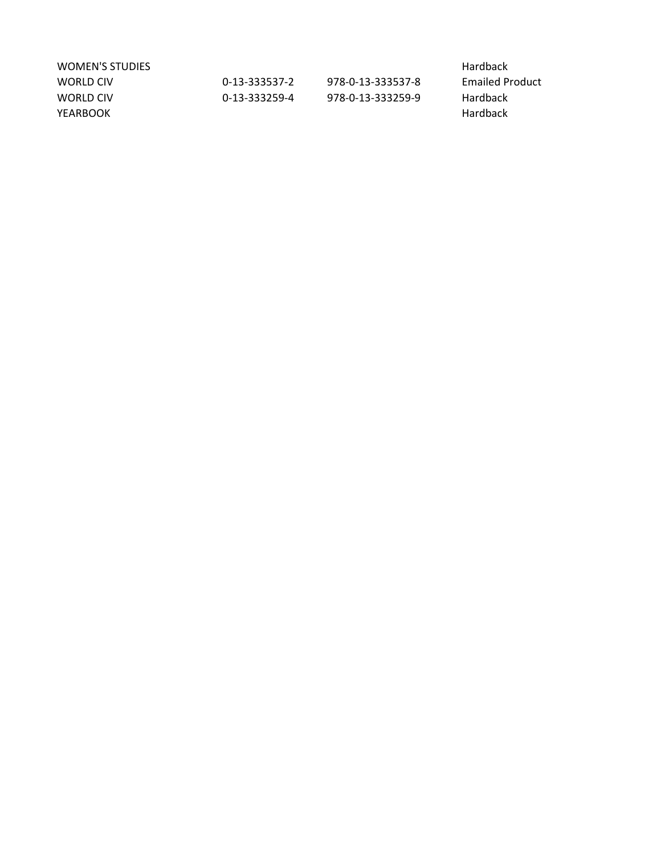| WOMEN'S STUDIES |               |                   | Hardback               |
|-----------------|---------------|-------------------|------------------------|
| WORLD CIV       | 0-13-333537-2 | 978-0-13-333537-8 | <b>Emailed Product</b> |
| WORLD CIV       | 0-13-333259-4 | 978-0-13-333259-9 | <b>Hardback</b>        |
| YEARBOOK        |               |                   | Hardback               |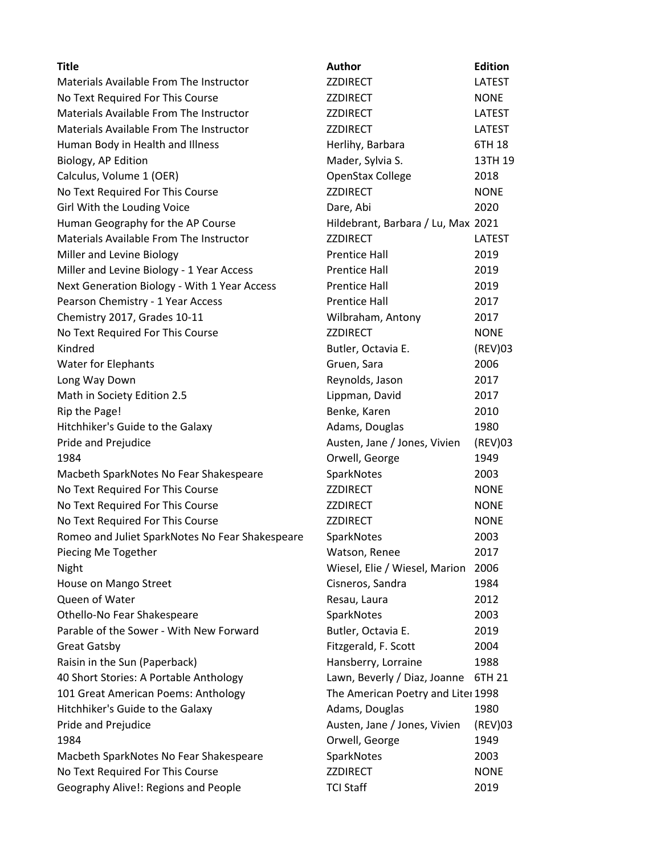| <b>Title</b>                                    | Author                             | <b>Edition</b> |
|-------------------------------------------------|------------------------------------|----------------|
| Materials Available From The Instructor         | <b>ZZDIRECT</b>                    | <b>LATEST</b>  |
| No Text Required For This Course                | ZZDIRECT                           | <b>NONE</b>    |
| Materials Available From The Instructor         | <b>ZZDIRECT</b>                    | LATEST         |
| Materials Available From The Instructor         | <b>ZZDIRECT</b>                    | LATEST         |
| Human Body in Health and Illness                | Herlihy, Barbara                   | 6TH 18         |
| Biology, AP Edition                             | Mader, Sylvia S.                   | 13TH 19        |
| Calculus, Volume 1 (OER)                        | OpenStax College                   | 2018           |
| No Text Required For This Course                | <b>ZZDIRECT</b>                    | <b>NONE</b>    |
| Girl With the Louding Voice                     | Dare, Abi                          | 2020           |
| Human Geography for the AP Course               | Hildebrant, Barbara / Lu, Max 2021 |                |
| Materials Available From The Instructor         | <b>ZZDIRECT</b>                    | LATEST         |
| Miller and Levine Biology                       | <b>Prentice Hall</b>               | 2019           |
| Miller and Levine Biology - 1 Year Access       | Prentice Hall                      | 2019           |
| Next Generation Biology - With 1 Year Access    | <b>Prentice Hall</b>               | 2019           |
| Pearson Chemistry - 1 Year Access               | <b>Prentice Hall</b>               | 2017           |
| Chemistry 2017, Grades 10-11                    | Wilbraham, Antony                  | 2017           |
| No Text Required For This Course                | <b>ZZDIRECT</b>                    | <b>NONE</b>    |
| Kindred                                         | Butler, Octavia E.                 | (REV)03        |
| Water for Elephants                             | Gruen, Sara                        | 2006           |
| Long Way Down                                   | Reynolds, Jason                    | 2017           |
| Math in Society Edition 2.5                     | Lippman, David                     | 2017           |
| Rip the Page!                                   | Benke, Karen                       | 2010           |
| Hitchhiker's Guide to the Galaxy                | Adams, Douglas                     | 1980           |
| Pride and Prejudice                             | Austen, Jane / Jones, Vivien       | (REV)03        |
| 1984                                            | Orwell, George                     | 1949           |
| Macbeth SparkNotes No Fear Shakespeare          | SparkNotes                         | 2003           |
| No Text Required For This Course                | ZZDIRECT                           | <b>NONE</b>    |
| No Text Required For This Course                | ZZDIRECT                           | <b>NONE</b>    |
| No Text Required For This Course                | <b>ZZDIRECT</b>                    | <b>NONE</b>    |
| Romeo and Juliet SparkNotes No Fear Shakespeare | SparkNotes                         | 2003           |
| Piecing Me Together                             | Watson, Renee                      | 2017           |
| Night                                           | Wiesel, Elie / Wiesel, Marion      | 2006           |
| House on Mango Street                           | Cisneros, Sandra                   | 1984           |
| Queen of Water                                  | Resau, Laura                       | 2012           |
| Othello-No Fear Shakespeare                     | SparkNotes                         | 2003           |
| Parable of the Sower - With New Forward         | Butler, Octavia E.                 | 2019           |
| <b>Great Gatsby</b>                             | Fitzgerald, F. Scott               | 2004           |
| Raisin in the Sun (Paperback)                   | Hansberry, Lorraine                | 1988           |
| 40 Short Stories: A Portable Anthology          | Lawn, Beverly / Diaz, Joanne       | 6TH 21         |
| 101 Great American Poems: Anthology             | The American Poetry and Liter 1998 |                |
| Hitchhiker's Guide to the Galaxy                | Adams, Douglas                     | 1980           |
| Pride and Prejudice                             | Austen, Jane / Jones, Vivien       | (REV)03        |
| 1984                                            | Orwell, George                     | 1949           |
| Macbeth SparkNotes No Fear Shakespeare          | SparkNotes                         | 2003           |
| No Text Required For This Course                | <b>ZZDIRECT</b>                    | <b>NONE</b>    |
| Geography Alive!: Regions and People            | <b>TCI Staff</b>                   | 2019           |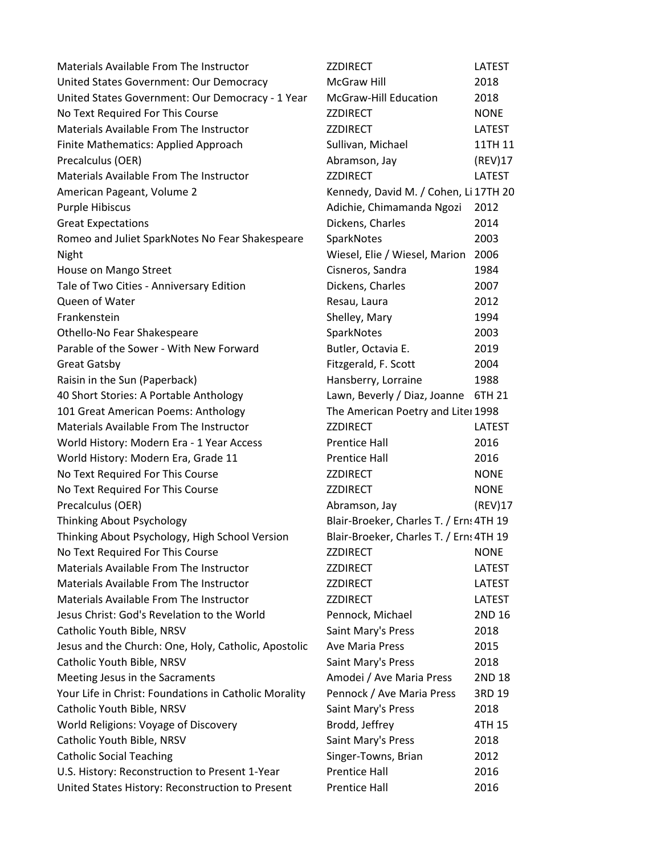| Materials Available From The Instructor               | <b>ZZDIRECT</b>                         | <b>LATEST</b> |
|-------------------------------------------------------|-----------------------------------------|---------------|
| United States Government: Our Democracy               | <b>McGraw Hill</b>                      | 2018          |
| United States Government: Our Democracy - 1 Year      | McGraw-Hill Education                   | 2018          |
| No Text Required For This Course                      | <b>ZZDIRECT</b>                         | <b>NONE</b>   |
| Materials Available From The Instructor               | <b>ZZDIRECT</b>                         | <b>LATEST</b> |
| Finite Mathematics: Applied Approach                  | Sullivan, Michael                       | 11TH 11       |
| Precalculus (OER)                                     | Abramson, Jay                           | (REV)17       |
| Materials Available From The Instructor               | <b>ZZDIRECT</b>                         | <b>LATEST</b> |
| American Pageant, Volume 2                            | Kennedy, David M. / Cohen, Li 17TH 20   |               |
| <b>Purple Hibiscus</b>                                | Adichie, Chimamanda Ngozi               | 2012          |
| <b>Great Expectations</b>                             | Dickens, Charles                        | 2014          |
| Romeo and Juliet SparkNotes No Fear Shakespeare       | SparkNotes                              | 2003          |
| Night                                                 | Wiesel, Elie / Wiesel, Marion           | 2006          |
| House on Mango Street                                 | Cisneros, Sandra                        | 1984          |
| Tale of Two Cities - Anniversary Edition              | Dickens, Charles                        | 2007          |
| Queen of Water                                        | Resau, Laura                            | 2012          |
| Frankenstein                                          | Shelley, Mary                           | 1994          |
| Othello-No Fear Shakespeare                           | SparkNotes                              | 2003          |
| Parable of the Sower - With New Forward               | Butler, Octavia E.                      | 2019          |
| <b>Great Gatsby</b>                                   | Fitzgerald, F. Scott                    | 2004          |
| Raisin in the Sun (Paperback)                         | Hansberry, Lorraine                     | 1988          |
| 40 Short Stories: A Portable Anthology                | Lawn, Beverly / Diaz, Joanne            | 6TH 21        |
| 101 Great American Poems: Anthology                   | The American Poetry and Liter 1998      |               |
| Materials Available From The Instructor               | <b>ZZDIRECT</b>                         | <b>LATEST</b> |
| World History: Modern Era - 1 Year Access             | <b>Prentice Hall</b>                    | 2016          |
| World History: Modern Era, Grade 11                   | <b>Prentice Hall</b>                    | 2016          |
| No Text Required For This Course                      | ZZDIRECT                                | <b>NONE</b>   |
| No Text Required For This Course                      | <b>ZZDIRECT</b>                         | <b>NONE</b>   |
| Precalculus (OER)                                     | Abramson, Jay                           | (REV)17       |
| Thinking About Psychology                             | Blair-Broeker, Charles T. / Erns 4TH 19 |               |
| Thinking About Psychology, High School Version        | Blair-Broeker, Charles T. / Erns 4TH 19 |               |
| No Text Required For This Course                      | <b>ZZDIRECT</b>                         | <b>NONE</b>   |
| Materials Available From The Instructor               | <b>ZZDIRECT</b>                         | LATEST        |
| Materials Available From The Instructor               | <b>ZZDIRECT</b>                         | <b>LATEST</b> |
| Materials Available From The Instructor               | <b>ZZDIRECT</b>                         | <b>LATEST</b> |
| Jesus Christ: God's Revelation to the World           | Pennock, Michael                        | 2ND 16        |
| Catholic Youth Bible, NRSV                            | Saint Mary's Press                      | 2018          |
| Jesus and the Church: One, Holy, Catholic, Apostolic  | <b>Ave Maria Press</b>                  | 2015          |
| Catholic Youth Bible, NRSV                            | Saint Mary's Press                      | 2018          |
| Meeting Jesus in the Sacraments                       | Amodei / Ave Maria Press                | 2ND 18        |
| Your Life in Christ: Foundations in Catholic Morality | Pennock / Ave Maria Press               | 3RD 19        |
| Catholic Youth Bible, NRSV                            | Saint Mary's Press                      | 2018          |
| World Religions: Voyage of Discovery                  | Brodd, Jeffrey                          | 4TH 15        |
| Catholic Youth Bible, NRSV                            | Saint Mary's Press                      | 2018          |
| <b>Catholic Social Teaching</b>                       | Singer-Towns, Brian                     | 2012          |
| U.S. History: Reconstruction to Present 1-Year        | <b>Prentice Hall</b>                    | 2016          |
| United States History: Reconstruction to Present      | <b>Prentice Hall</b>                    | 2016          |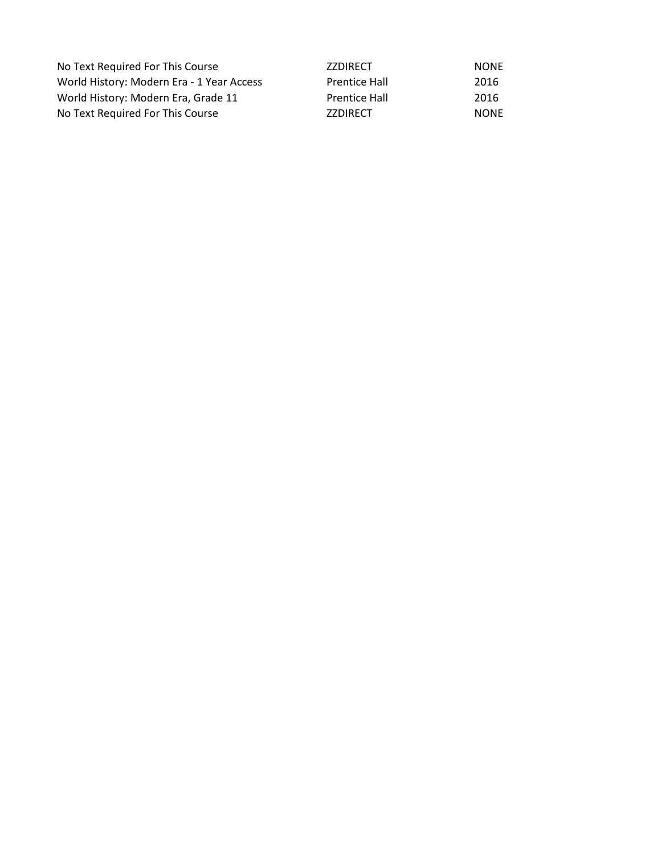| No Text Required For This Course          | <b>ZZDIRECT</b>      | <b>NONE</b> |
|-------------------------------------------|----------------------|-------------|
| World History: Modern Era - 1 Year Access | <b>Prentice Hall</b> | 2016        |
| World History: Modern Era, Grade 11       | <b>Prentice Hall</b> | 2016        |
| No Text Required For This Course          | <b>ZZDIRECT</b>      | <b>NONE</b> |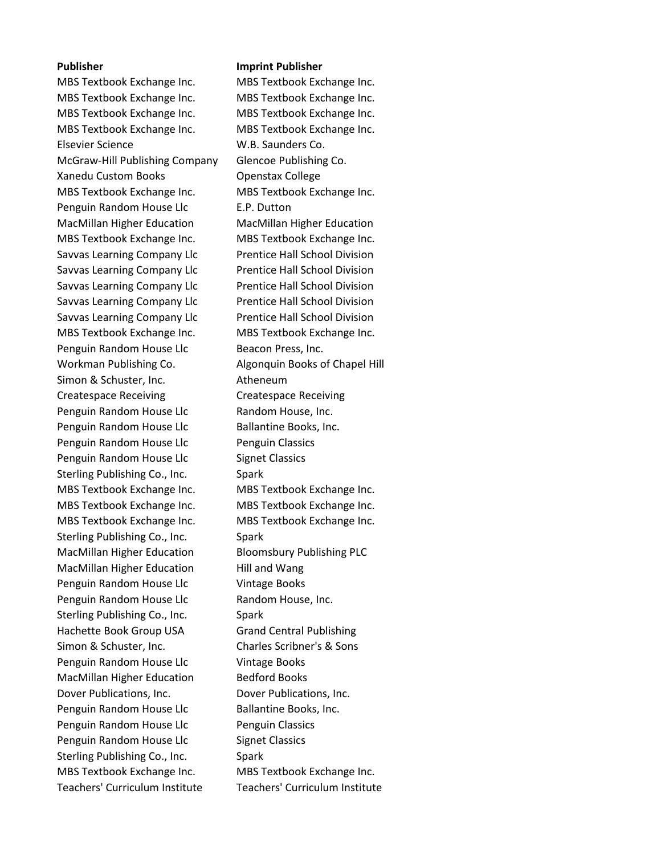MBS Textbook Exchange Inc. MBS Textbook Exchange Inc. MBS Textbook Exchange Inc. MBS Textbook Exchange Inc. MBS Textbook Exchange Inc. MBS Textbook Exchange Inc. MBS Textbook Exchange Inc. MBS Textbook Exchange Inc. Elsevier Science W.B. Saunders Co. McGraw-Hill Publishing Company Glencoe Publishing Co. Xanedu Custom Books **College** Openstax College MBS Textbook Exchange Inc. MBS Textbook Exchange Inc. Penguin Random House Llc **E.P.** Dutton MacMillan Higher Education MacMillan Higher Education MBS Textbook Exchange Inc. MBS Textbook Exchange Inc. Savvas Learning Company Llc Prentice Hall School Division Savvas Learning Company Llc Prentice Hall School Division Savvas Learning Company Llc Prentice Hall School Division Savvas Learning Company Llc Prentice Hall School Division Savvas Learning Company Llc Prentice Hall School Division MBS Textbook Exchange Inc. MBS Textbook Exchange Inc. Penguin Random House Llc Beacon Press, Inc. Workman Publishing Co. Algonquin Books of Chapel Hill Simon & Schuster, Inc. **Atheneum** Createspace Receiving Createspace Receiving Penguin Random House Llc Random House, Inc. Penguin Random House Llc Ballantine Books, Inc. Penguin Random House Llc Penguin Classics Penguin Random House Llc Signet Classics Sterling Publishing Co., Inc. Spark MBS Textbook Exchange Inc. MBS Textbook Exchange Inc. MBS Textbook Exchange Inc. MBS Textbook Exchange Inc. MBS Textbook Exchange Inc. MBS Textbook Exchange Inc. Sterling Publishing Co., Inc. Spark MacMillan Higher Education Bloomsbury Publishing PLC MacMillan Higher Education Hill and Wang Penguin Random House Llc Vintage Books Penguin Random House Llc Random House, Inc. Sterling Publishing Co., Inc. Spark Hachette Book Group USA Grand Central Publishing Simon & Schuster, Inc. Charles Scribner's & Sons Penguin Random House Llc Vintage Books MacMillan Higher Education Bedford Books Dover Publications, Inc. Dover Publications, Inc. Penguin Random House Llc Ballantine Books, Inc. Penguin Random House Llc Penguin Classics Penguin Random House Llc Signet Classics Sterling Publishing Co., Inc. Spark MBS Textbook Exchange Inc. MBS Textbook Exchange Inc. Teachers' Curriculum Institute Teachers' Curriculum Institute

## **Publisher Imprint Publisher**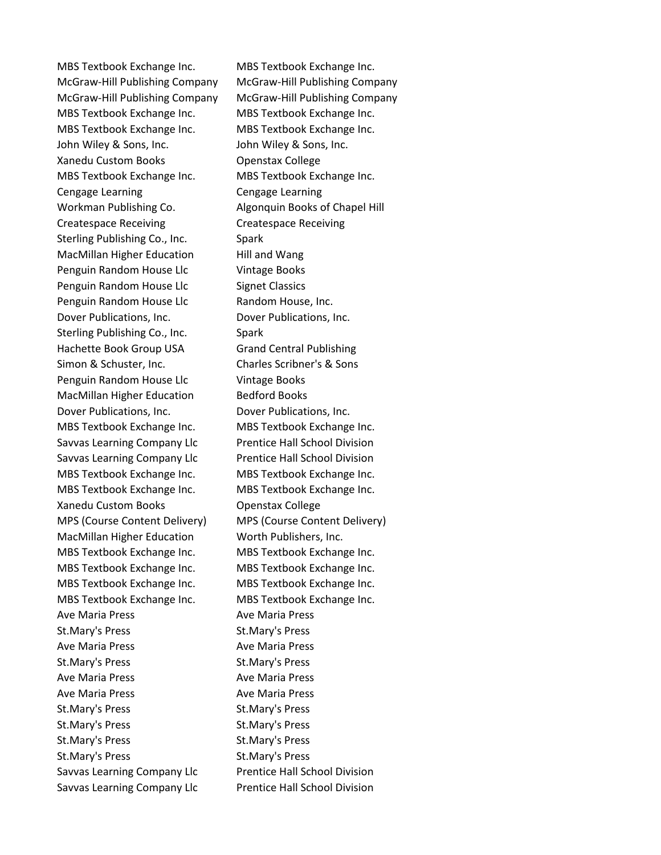MBS Textbook Exchange Inc. MBS Textbook Exchange Inc. McGraw-Hill Publishing Company McGraw-Hill Publishing Company McGraw-Hill Publishing Company McGraw-Hill Publishing Company MBS Textbook Exchange Inc. MBS Textbook Exchange Inc. MBS Textbook Exchange Inc. MBS Textbook Exchange Inc. John Wiley & Sons, Inc. John Wiley & Sons, Inc. Xanedu Custom Books **Openstax College** MBS Textbook Exchange Inc. MBS Textbook Exchange Inc. Cengage Learning Cengage Learning Workman Publishing Co. Algonquin Books of Chapel Hill Createspace Receiving Createspace Receiving Sterling Publishing Co., Inc. Spark MacMillan Higher Education Hill and Wang Penguin Random House Llc Vintage Books Penguin Random House Llc Signet Classics Penguin Random House Llc Random House, Inc. Dover Publications, Inc. Dover Publications, Inc. Sterling Publishing Co., Inc. Spark Hachette Book Group USA Grand Central Publishing Simon & Schuster, Inc. Charles Scribner's & Sons Penguin Random House Llc Vintage Books MacMillan Higher Education Bedford Books Dover Publications, Inc. Dover Publications, Inc. MBS Textbook Exchange Inc. MBS Textbook Exchange Inc. Savvas Learning Company Llc Prentice Hall School Division Savvas Learning Company Llc Prentice Hall School Division MBS Textbook Exchange Inc. MBS Textbook Exchange Inc. MBS Textbook Exchange Inc. MBS Textbook Exchange Inc. Xanedu Custom Books **College** Openstax College MPS (Course Content Delivery) MPS (Course Content Delivery) MacMillan Higher Education Worth Publishers, Inc. MBS Textbook Exchange Inc. MBS Textbook Exchange Inc. MBS Textbook Exchange Inc. MBS Textbook Exchange Inc. MBS Textbook Exchange Inc. MBS Textbook Exchange Inc. MBS Textbook Exchange Inc. MBS Textbook Exchange Inc. Ave Maria Press **Ave Maria Press** St.Mary's Press St.Mary's Press Ave Maria Press **Ave Maria Press** St.Mary's Press St.Mary's Press Ave Maria Press **Ave Maria Press** Ave Maria Press **Ave Maria Press** St.Mary's Press St.Mary's Press St.Mary's Press St.Mary's Press St.Mary's Press St.Mary's Press St.Mary's Press St.Mary's Press Savvas Learning Company Llc Prentice Hall School Division Savvas Learning Company Llc Prentice Hall School Division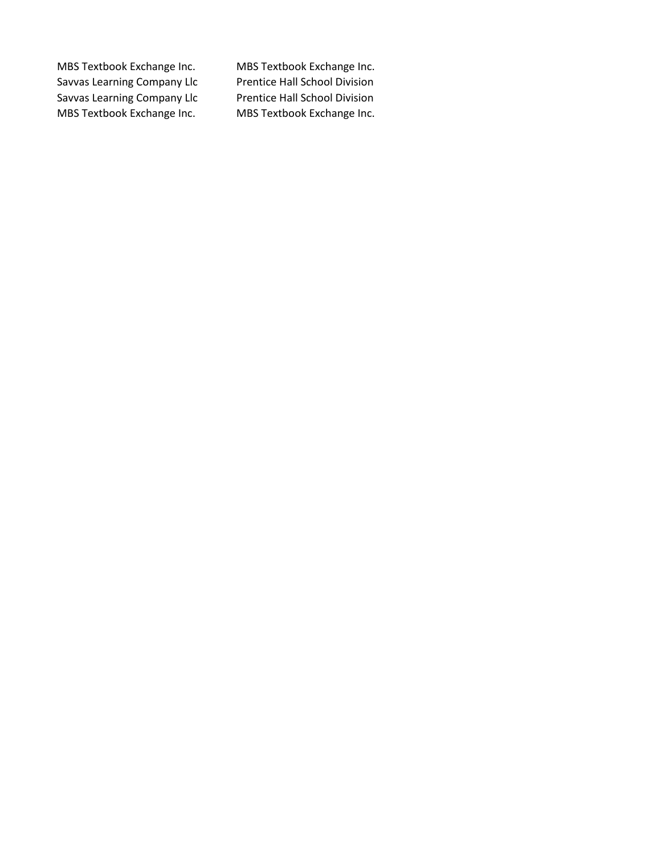Savvas Learning Company Llc Savvas Learning Company Llc Prentice Hall School Division MBS Textbook Exchange Inc. MBS Textbook Exchange Inc.

MBS Textbook Exchange Inc. MBS Textbook Exchange Inc.<br>Savvas Learning Company Llc Prentice Hall School Division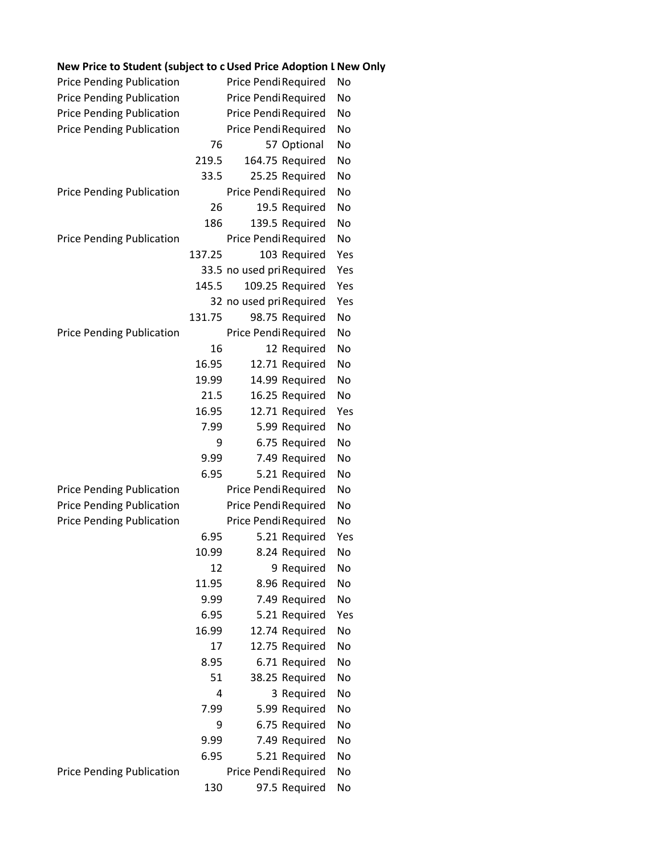| New Frite to Student (Subject to Cosed Frite Adoption Livew |        |                           |                 |     |
|-------------------------------------------------------------|--------|---------------------------|-----------------|-----|
| <b>Price Pending Publication</b>                            |        | Price Pendi Required      |                 | No  |
| <b>Price Pending Publication</b>                            |        | Price Pendi Required      |                 | No  |
| <b>Price Pending Publication</b>                            |        | Price Pendi Required      |                 | No  |
| <b>Price Pending Publication</b>                            |        | Price Pendi Required      |                 | No  |
|                                                             | 76     |                           | 57 Optional     | No  |
|                                                             | 219.5  |                           | 164.75 Required | No  |
|                                                             | 33.5   |                           | 25.25 Required  | No  |
| <b>Price Pending Publication</b>                            |        | Price Pendi Required      |                 | No  |
|                                                             | 26     |                           | 19.5 Required   | No  |
|                                                             | 186    |                           | 139.5 Required  | No  |
| <b>Price Pending Publication</b>                            |        | Price Pendi Required      |                 | No  |
|                                                             | 137.25 |                           | 103 Required    | Yes |
|                                                             |        | 33.5 no used pri Required |                 | Yes |
|                                                             | 145.5  |                           | 109.25 Required | Yes |
|                                                             |        | 32 no used pri Required   |                 | Yes |
|                                                             | 131.75 |                           | 98.75 Required  | No  |
| <b>Price Pending Publication</b>                            |        | Price Pendi Required      |                 | No  |
|                                                             | 16     |                           | 12 Required     | No  |
|                                                             | 16.95  |                           | 12.71 Required  | No  |
|                                                             | 19.99  |                           | 14.99 Required  | No  |
|                                                             | 21.5   |                           | 16.25 Required  | No  |
|                                                             | 16.95  |                           | 12.71 Required  | Yes |
|                                                             | 7.99   |                           | 5.99 Required   | No  |
|                                                             | 9      |                           | 6.75 Required   | No  |
|                                                             | 9.99   |                           | 7.49 Required   | No  |
|                                                             | 6.95   |                           | 5.21 Required   | No  |
| <b>Price Pending Publication</b>                            |        | Price Pendi Required      |                 | No  |
| <b>Price Pending Publication</b>                            |        | Price Pendi Required      |                 | No  |
| <b>Price Pending Publication</b>                            |        | Price Pendi Required      |                 | No  |
|                                                             | 6.95   |                           | 5.21 Required   | Yes |
|                                                             | 10.99  |                           | 8.24 Required   | No  |
|                                                             | 12     |                           | 9 Required      | No  |
|                                                             | 11.95  |                           | 8.96 Required   | No  |
|                                                             | 9.99   |                           | 7.49 Required   | No  |
|                                                             | 6.95   |                           | 5.21 Required   | Yes |
|                                                             | 16.99  |                           | 12.74 Required  | No  |
|                                                             | 17     |                           | 12.75 Required  | No  |
|                                                             | 8.95   |                           | 6.71 Required   | No  |
|                                                             | 51     |                           | 38.25 Required  | No  |
|                                                             | 4      |                           | 3 Required      | No  |
|                                                             | 7.99   |                           | 5.99 Required   | No  |
|                                                             | 9      |                           | 6.75 Required   | No  |
|                                                             | 9.99   |                           | 7.49 Required   | No  |
|                                                             | 6.95   |                           | 5.21 Required   | No  |
| <b>Price Pending Publication</b>                            |        | Price Pendi Required      |                 | No  |
|                                                             | 130    |                           | 97.5 Required   | No  |

## **New Price to Student (subject to change) Used Price to Student (subject to change) Adoption Level New Only**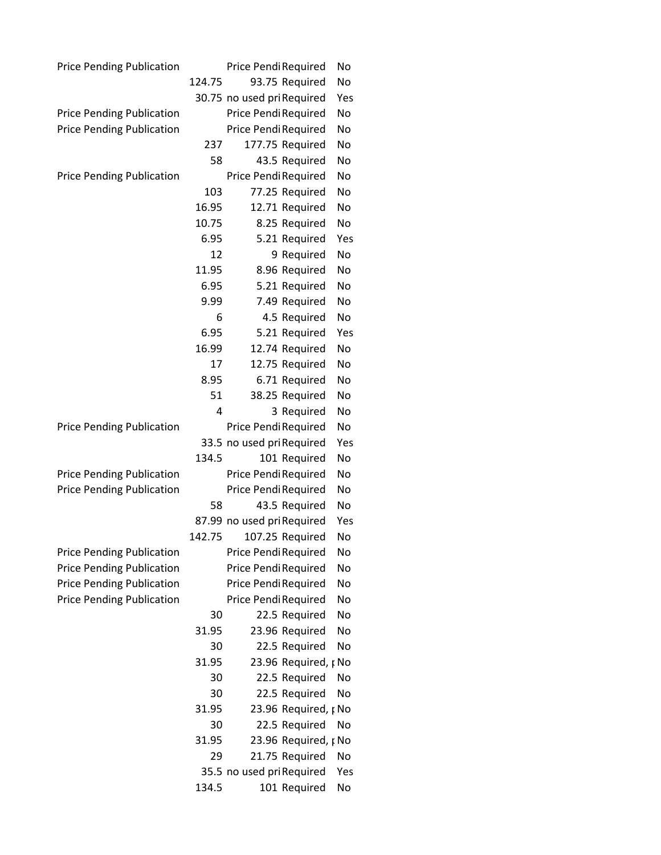| <b>Price Pending Publication</b> |        | Price Pendi Required       | No  |  |
|----------------------------------|--------|----------------------------|-----|--|
|                                  | 124.75 | 93.75 Required             | No  |  |
|                                  |        | 30.75 no used pri Required | Yes |  |
| <b>Price Pending Publication</b> |        | Price Pendi Required       | No  |  |
| <b>Price Pending Publication</b> |        | Price Pendi Required       | No  |  |
|                                  | 237    | 177.75 Required            | No  |  |
|                                  | 58     | 43.5 Required              | No  |  |
| <b>Price Pending Publication</b> |        | Price Pendi Required       | No  |  |
|                                  | 103    | 77.25 Required             | No  |  |
|                                  | 16.95  | 12.71 Required             | No  |  |
|                                  | 10.75  | 8.25 Required              | No  |  |
|                                  | 6.95   | 5.21 Required              | Yes |  |
|                                  | 12     | 9 Required                 | No  |  |
|                                  | 11.95  | 8.96 Required              | No  |  |
|                                  | 6.95   | 5.21 Required              | No  |  |
|                                  | 9.99   | 7.49 Required              | No  |  |
|                                  | 6      | 4.5 Required               | No  |  |
|                                  | 6.95   | 5.21 Required              | Yes |  |
|                                  | 16.99  | 12.74 Required             | No  |  |
|                                  | 17     | 12.75 Required             | No  |  |
|                                  | 8.95   | 6.71 Required              | No  |  |
|                                  | 51     | 38.25 Required             | No  |  |
|                                  | 4      | 3 Required                 | No  |  |
| <b>Price Pending Publication</b> |        | Price Pendi Required       | No  |  |
|                                  |        | 33.5 no used pri Required  | Yes |  |
|                                  | 134.5  | 101 Required               | No  |  |
| <b>Price Pending Publication</b> |        | Price Pendi Required       | No  |  |
| <b>Price Pending Publication</b> |        | Price Pendi Required       | No  |  |
|                                  | 58     | 43.5 Required              | No  |  |
|                                  |        | 87.99 no used pri Required | Yes |  |
|                                  | 142.75 | 107.25 Required            | No  |  |
| <b>Price Pending Publication</b> |        | Price Pendi Required       | No  |  |
| <b>Price Pending Publication</b> |        | Price Pendi Required       | No  |  |
| <b>Price Pending Publication</b> |        | Price Pendi Required       | No  |  |
| <b>Price Pending Publication</b> |        | Price Pendi Required       | No  |  |
|                                  | 30     | 22.5 Required              | No  |  |
|                                  | 31.95  | 23.96 Required             | No  |  |
|                                  | 30     | 22.5 Required              | No  |  |
|                                  | 31.95  | 23.96 Required, p No       |     |  |
|                                  | 30     | 22.5 Required              | No  |  |
|                                  | 30     | 22.5 Required              | No  |  |
|                                  | 31.95  | 23.96 Required, p No       |     |  |
|                                  | 30     | 22.5 Required              | No  |  |
|                                  | 31.95  | 23.96 Required, p No       |     |  |
|                                  | 29     | 21.75 Required             | No  |  |
|                                  |        | 35.5 no used pri Required  | Yes |  |
|                                  | 134.5  | 101 Required               | No  |  |